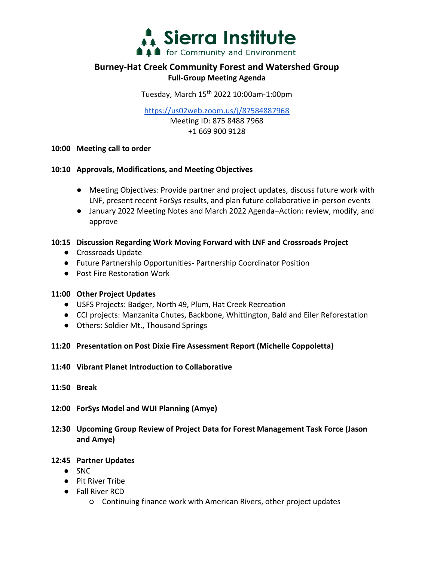

# **Burney-Hat Creek Community Forest and Watershed Group Full-Group Meeting Agenda**

Tuesday, March 15th 2022 10:00am-1:00pm

<https://us02web.zoom.us/j/87584887968>

Meeting ID: 875 8488 7968 +1 669 900 9128

#### **10:00 Meeting call to order**

#### **10:10 Approvals, Modifications, and Meeting Objectives**

- Meeting Objectives: Provide partner and project updates, discuss future work with LNF, present recent ForSys results, and plan future collaborative in-person events
- January 2022 Meeting Notes and March 2022 Agenda–Action: review, modify, and approve

## **10:15 Discussion Regarding Work Moving Forward with LNF and Crossroads Project**

- Crossroads Update
- Future Partnership Opportunities- Partnership Coordinator Position
- Post Fire Restoration Work

## **11:00 Other Project Updates**

- USFS Projects: Badger, North 49, Plum, Hat Creek Recreation
- CCI projects: Manzanita Chutes, Backbone, Whittington, Bald and Eiler Reforestation
- Others: Soldier Mt., Thousand Springs
- **11:20 Presentation on Post Dixie Fire Assessment Report (Michelle Coppoletta)**
- **11:40 Vibrant Planet Introduction to Collaborative**
- **11:50 Break**
- **12:00 ForSys Model and WUI Planning (Amye)**
- **12:30 Upcoming Group Review of Project Data for Forest Management Task Force (Jason and Amye)**

## **12:45 Partner Updates**

- SNC
- Pit River Tribe
- Fall River RCD
	- Continuing finance work with American Rivers, other project updates